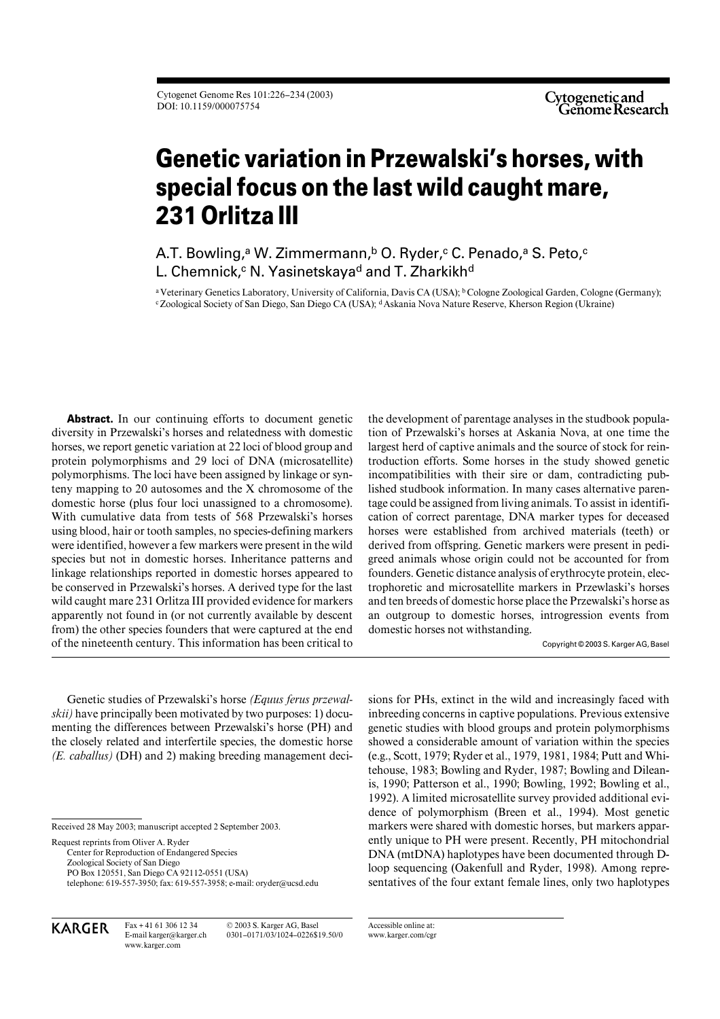Cytogenetic and Genome Research

# **Genetic variation in Przewalski's horses, with special focus on the last wild caught mare, 231 Orlitza III**

A.T. Bowling,<sup>a</sup> W. Zimmermann,<sup>b</sup> O. Ryder,<sup>c</sup> C. Penado,<sup>a</sup> S. Peto,<sup>c</sup> L. Chemnick,<sup>c</sup> N. Yasinetskaya<sup>d</sup> and T. Zharkikh<sup>d</sup>

<sup>a</sup> Veterinary Genetics Laboratory, University of California, Davis CA (USA); <sup>b</sup>Cologne Zoological Garden, Cologne (Germany); <sup>c</sup>Zoological Society of San Diego, San Diego CA (USA); <sup>d</sup>Askania Nova Nature Reserve, Kherson Region (Ukraine)

Abstract. In our continuing efforts to document genetic diversity in Przewalski's horses and relatedness with domestic horses, we report genetic variation at 22 loci of blood group and protein polymorphisms and 29 loci of DNA (microsatellite) polymorphisms. The loci have been assigned by linkage or synteny mapping to 20 autosomes and the X chromosome of the domestic horse (plus four loci unassigned to a chromosome). With cumulative data from tests of 568 Przewalski's horses using blood, hair or tooth samples, no species-defining markers were identified, however a few markers were present in the wild species but not in domestic horses. Inheritance patterns and linkage relationships reported in domestic horses appeared to be conserved in Przewalski's horses. A derived type for the last wild caught mare 231 Orlitza III provided evidence for markers apparently not found in (or not currently available by descent from) the other species founders that were captured at the end of the nineteenth century. This information has been critical to

the development of parentage analyses in the studbook population of Przewalski's horses at Askania Nova, at one time the largest herd of captive animals and the source of stock for reintroduction efforts. Some horses in the study showed genetic incompatibilities with their sire or dam, contradicting published studbook information. In many cases alternative parentage could be assigned from living animals. To assist in identification of correct parentage, DNA marker types for deceased horses were established from archived materials (teeth) or derived from offspring. Genetic markers were present in pedigreed animals whose origin could not be accounted for from founders. Genetic distance analysis of erythrocyte protein, electrophoretic and microsatellite markers in Przewlaski's horses and ten breeds of domestic horse place the Przewalski's horse as an outgroup to domestic horses, introgression events from domestic horses not withstanding.

Copyright © 2003 S. Karger AG, Basel

Genetic studies of Przewalski's horse *(Equus ferus przewalskii)* have principally been motivated by two purposes: 1) documenting the differences between Przewalski's horse (PH) and the closely related and interfertile species, the domestic horse *(E. caballus)* (DH) and 2) making breeding management deci-

Received 28 May 2003; manuscript accepted 2 September 2003.

Request reprints from Oliver A. Ryder

Center for Reproduction of Endangered Species

Zoological Society of San Diego PO Box 120551, San Diego CA 92112-0551 (USA)

KARGER Fax + 41 61 306 12 34 E-mail karger@karger.ch www.karger.com

© 2003 S. Karger AG, Basel 0301–0171/03/1024–0226\$19.50/0 sions for PHs, extinct in the wild and increasingly faced with inbreeding concerns in captive populations. Previous extensive genetic studies with blood groups and protein polymorphisms showed a considerable amount of variation within the species (e.g., Scott, 1979; Ryder et al., 1979, 1981, 1984; Putt and Whitehouse, 1983; Bowling and Ryder, 1987; Bowling and Dileanis, 1990; Patterson et al., 1990; Bowling, 1992; Bowling et al., 1992). A limited microsatellite survey provided additional evidence of polymorphism (Breen et al., 1994). Most genetic markers were shared with domestic horses, but markers apparently unique to PH were present. Recently, PH mitochondrial DNA (mtDNA) haplotypes have been documented through Dloop sequencing (Oakenfull and Ryder, 1998). Among representatives of the four extant female lines, only two haplotypes

Accessible online at: www.karger.com/cgr

telephone: 619-557-3950; fax: 619-557-3958; e-mail: oryder@ucsd.edu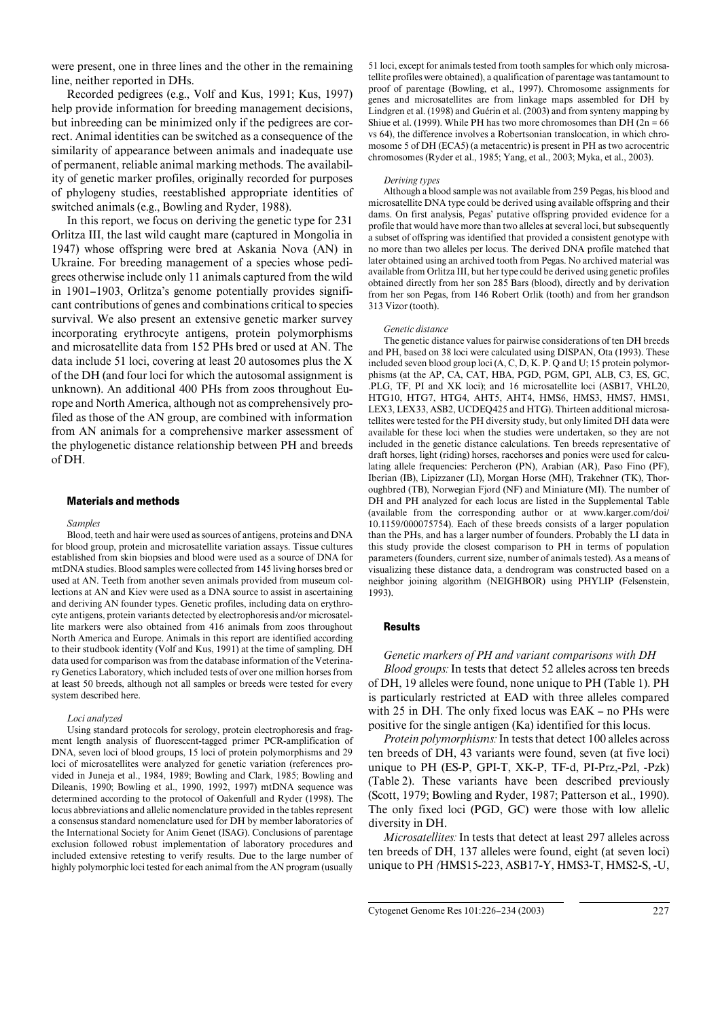were present, one in three lines and the other in the remaining line, neither reported in DHs.

Recorded pedigrees (e.g., Volf and Kus, 1991; Kus, 1997) help provide information for breeding management decisions, but inbreeding can be minimized only if the pedigrees are correct. Animal identities can be switched as a consequence of the similarity of appearance between animals and inadequate use of permanent, reliable animal marking methods. The availability of genetic marker profiles, originally recorded for purposes of phylogeny studies, reestablished appropriate identities of switched animals (e.g., Bowling and Ryder, 1988).

In this report, we focus on deriving the genetic type for 231 Orlitza III, the last wild caught mare (captured in Mongolia in 1947) whose offspring were bred at Askania Nova (AN) in Ukraine. For breeding management of a species whose pedigrees otherwise include only 11 animals captured from the wild in 1901–1903, Orlitza's genome potentially provides significant contributions of genes and combinations critical to species survival. We also present an extensive genetic marker survey incorporating erythrocyte antigens, protein polymorphisms and microsatellite data from 152 PHs bred or used at AN. The data include 51 loci, covering at least 20 autosomes plus the X of the DH (and four loci for which the autosomal assignment is unknown). An additional 400 PHs from zoos throughout Europe and North America, although not as comprehensively profiled as those of the AN group, are combined with information from AN animals for a comprehensive marker assessment of the phylogenetic distance relationship between PH and breeds of DH.

#### **Materials and methods**

#### *Samples*

Blood, teeth and hair were used as sources of antigens, proteins and DNA for blood group, protein and microsatellite variation assays. Tissue cultures established from skin biopsies and blood were used as a source of DNA for mtDNA studies. Blood samples were collected from 145 living horses bred or used at AN. Teeth from another seven animals provided from museum collections at AN and Kiev were used as a DNA source to assist in ascertaining and deriving AN founder types. Genetic profiles, including data on erythrocyte antigens, protein variants detected by electrophoresis and/or microsatellite markers were also obtained from 416 animals from zoos throughout North America and Europe. Animals in this report are identified according to their studbook identity (Volf and Kus, 1991) at the time of sampling. DH data used for comparison was from the database information of the Veterinary Genetics Laboratory, which included tests of over one million horses from at least 50 breeds, although not all samples or breeds were tested for every system described here.

#### *Loci analyzed*

Using standard protocols for serology, protein electrophoresis and fragment length analysis of fluorescent-tagged primer PCR-amplification of DNA, seven loci of blood groups, 15 loci of protein polymorphisms and 29 loci of microsatellites were analyzed for genetic variation (references provided in Juneja et al., 1984, 1989; Bowling and Clark, 1985; Bowling and Dileanis, 1990; Bowling et al., 1990, 1992, 1997) mtDNA sequence was determined according to the protocol of Oakenfull and Ryder (1998). The locus abbreviations and allelic nomenclature provided in the tables represent a consensus standard nomenclature used for DH by member laboratories of the International Society for Anim Genet (ISAG). Conclusions of parentage exclusion followed robust implementation of laboratory procedures and included extensive retesting to verify results. Due to the large number of highly polymorphic loci tested for each animal from the AN program (usually

51 loci, except for animals tested from tooth samples for which only microsatellite profiles were obtained), a qualification of parentage was tantamount to proof of parentage (Bowling, et al., 1997). Chromosome assignments for genes and microsatellites are from linkage maps assembled for DH by Lindgren et al. (1998) and Guérin et al. (2003) and from synteny mapping by Shiue et al. (1999). While PH has two more chromosomes than  $DH(2n = 66$ vs 64), the difference involves a Robertsonian translocation, in which chromosome 5 of DH (ECA5) (a metacentric) is present in PH as two acrocentric chromosomes (Ryder et al., 1985; Yang, et al., 2003; Myka, et al., 2003).

#### *Deriving types*

Although a blood sample was not available from 259 Pegas, his blood and microsatellite DNA type could be derived using available offspring and their dams. On first analysis, Pegas' putative offspring provided evidence for a profile that would have more than two alleles at several loci, but subsequently a subset of offspring was identified that provided a consistent genotype with no more than two alleles per locus. The derived DNA profile matched that later obtained using an archived tooth from Pegas. No archived material was available from Orlitza III, but her type could be derived using genetic profiles obtained directly from her son 285 Bars (blood), directly and by derivation from her son Pegas, from 146 Robert Orlik (tooth) and from her grandson 313 Vizor (tooth).

#### *Genetic distance*

The genetic distance values for pairwise considerations of ten DH breeds and PH, based on 38 loci were calculated using DISPAN, Ota (1993). These included seven blood group loci (A, C, D, K. P. Q and U; 15 protein polymorphisms (at the AP, CA, CAT, HBA, PGD, PGM, GPI, ALB, C3, ES, GC, .PLG, TF, PI and XK loci); and 16 microsatellite loci (ASB17, VHL20, HTG10, HTG7, HTG4, AHT5, AHT4, HMS6, HMS3, HMS7, HMS1, LEX3, LEX33, ASB2, UCDEQ425 and HTG). Thirteen additional microsatellites were tested for the PH diversity study, but only limited DH data were available for these loci when the studies were undertaken, so they are not included in the genetic distance calculations. Ten breeds representative of draft horses, light (riding) horses, racehorses and ponies were used for calculating allele frequencies: Percheron (PN), Arabian (AR), Paso Fino (PF), Iberian (IB), Lipizzaner (LI), Morgan Horse (MH), Trakehner (TK), Thoroughbred (TB), Norwegian Fjord (NF) and Miniature (MI). The number of DH and PH analyzed for each locus are listed in the Supplemental Table (available from the corresponding author or at www.karger.com/doi/ 10.1159/000075754). Each of these breeds consists of a larger population than the PHs, and has a larger number of founders. Probably the LI data in this study provide the closest comparison to PH in terms of population parameters (founders, current size, number of animals tested). As a means of visualizing these distance data, a dendrogram was constructed based on a neighbor joining algorithm (NEIGHBOR) using PHYLIP (Felsenstein, 1993).

## **Results**

#### *Genetic markers of PH and variant comparisons with DH*

*Blood groups:* In tests that detect 52 alleles across ten breeds of DH, 19 alleles were found, none unique to PH (Table 1). PH is particularly restricted at EAD with three alleles compared with 25 in DH. The only fixed locus was EAK – no PHs were positive for the single antigen (Ka) identified for this locus.

*Protein polymorphisms:* In tests that detect 100 alleles across ten breeds of DH, 43 variants were found, seven (at five loci) unique to PH (ES-P, GPI-T, XK-P, TF-d, PI-Prz,-Pzl, -Pzk) (Table 2). These variants have been described previously (Scott, 1979; Bowling and Ryder, 1987; Patterson et al., 1990). The only fixed loci (PGD, GC) were those with low allelic diversity in DH.

*Microsatellites:* In tests that detect at least 297 alleles across ten breeds of DH, 137 alleles were found, eight (at seven loci) unique to PH *(*HMS15-223, ASB17-Y, HMS3-T, HMS2-S, -U,

Cytogenet Genome Res 101:226–234 (2003) 227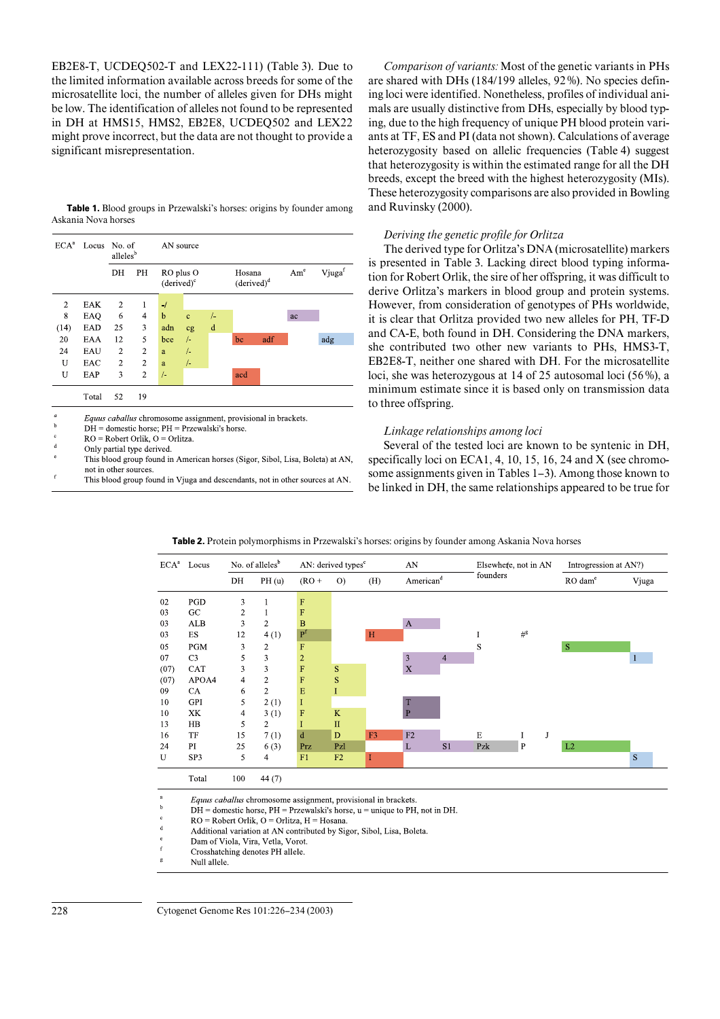EB2E8-T, UCDEQ502-T and LEX22-111) (Table 3). Due to the limited information available across breeds for some of the microsatellite loci, the number of alleles given for DHs might be low. The identification of alleles not found to be represented in DH at HMS15, HMS2, EB2E8, UCDEQ502 and LEX22 might prove incorrect, but the data are not thought to provide a significant misrepresentation.

**Table 1.** Blood groups in Przewalski's horses: origins by founder among Askania Nova horses

| ECA <sup>a</sup> | Locus      | No. of<br>alleles <sup>b</sup> |                | AN source                           |              |               |                                                                       |                             |    |                    |  |  |
|------------------|------------|--------------------------------|----------------|-------------------------------------|--------------|---------------|-----------------------------------------------------------------------|-----------------------------|----|--------------------|--|--|
|                  |            | DH                             | PH             | RO plus O<br>(denived) <sup>c</sup> |              |               |                                                                       | Hosana<br>$(d$ erived $)^d$ |    | Vjuga <sup>f</sup> |  |  |
| $\overline{2}$   | EAK        | $\overline{2}$                 | 1              | -1                                  |              |               |                                                                       |                             |    |                    |  |  |
| 8                | EAQ        | 6                              | 4              | b                                   | $\mathbf{c}$ | $\frac{1}{2}$ |                                                                       |                             | ac |                    |  |  |
| (14)             | <b>EAD</b> | 25                             | 3              | adn                                 | cg           | d             |                                                                       |                             |    |                    |  |  |
| 20               | EAA        | 12                             | 5              | bce                                 | /-           |               | bc                                                                    | adf                         |    | adg                |  |  |
| 24               | EAU        | $\overline{2}$                 | $\overline{2}$ | a                                   | /-           |               |                                                                       |                             |    |                    |  |  |
| U                | EAC        | $\overline{2}$                 | $\overline{2}$ | a                                   | /-           |               |                                                                       |                             |    |                    |  |  |
| U                | EAP        | 3                              | $\overline{c}$ | I-                                  |              |               | acd                                                                   |                             |    |                    |  |  |
|                  | Total      | 52                             | 19             |                                     |              |               |                                                                       |                             |    |                    |  |  |
| $\boldsymbol{a}$ |            |                                |                |                                     |              |               | <i>Equive caballus</i> chromosome assignment, provisional in brackets |                             |    |                    |  |  |

 $DH =$  domestic horse;  $PH =$  Przewalski's horse.

 $RO = Robert Orlik, O = Orlitza.$ Only partial type derived.

This blood group found in American horses (Sigor, Sibol, Lisa, Boleta) at AN, not in other sources. This blood group found in Vjuga and descendants, not in other sources at AN.

*Comparison of variants:* Most of the genetic variants in PHs are shared with DHs (184/199 alleles, 92%). No species defining loci were identified. Nonetheless, profiles of individual animals are usually distinctive from DHs, especially by blood typing, due to the high frequency of unique PH blood protein variants at TF, ES and PI (data not shown). Calculations of average heterozygosity based on allelic frequencies (Table 4) suggest that heterozygosity is within the estimated range for all the DH breeds, except the breed with the highest heterozygosity (MIs). These heterozygosity comparisons are also provided in Bowling and Ruvinsky (2000).

# *Deriving the genetic profile for Orlitza*

The derived type for Orlitza's DNA (microsatellite) markers is presented in Table 3. Lacking direct blood typing information for Robert Orlik, the sire of her offspring, it was difficult to derive Orlitza's markers in blood group and protein systems. However, from consideration of genotypes of PHs worldwide, it is clear that Orlitza provided two new alleles for PH, TF-D and CA-E, both found in DH. Considering the DNA markers, she contributed two other new variants to PHs, HMS3-T, EB2E8-T, neither one shared with DH. For the microsatellite loci, she was heterozygous at 14 of 25 autosomal loci (56%), a minimum estimate since it is based only on transmission data to three offspring.

## *Linkage relationships among loci*

Several of the tested loci are known to be syntenic in DH, specifically loci on ECA1, 4, 10, 15, 16, 24 and X (see chromosome assignments given in Tables 1–3). Among those known to be linked in DH, the same relationships appeared to be true for

| ECA <sup>a</sup> | Locus          |                | No. of alleles <sup>b</sup> |                | AN: derived types <sup>c</sup> |                |                       | AN |          | Elsewhere, not in AN |              | Introgression at AN?) |  |
|------------------|----------------|----------------|-----------------------------|----------------|--------------------------------|----------------|-----------------------|----|----------|----------------------|--------------|-----------------------|--|
|                  |                | DH<br>PH(u)    |                             | $(RO +$        | O<br>(H)                       |                | American <sup>d</sup> |    | founders |                      | $RO \, dame$ | Vjuga                 |  |
| 02               | PGD            | 3              |                             | F              |                                |                |                       |    |          |                      |              |                       |  |
| 03               | GC             | $\overline{2}$ |                             | F              |                                |                |                       |    |          |                      |              |                       |  |
| 03               | <b>ALB</b>     | 3              | $\overline{c}$              | В              |                                |                | $\mathbf{A}$          |    |          |                      |              |                       |  |
| 03               | ES             | 12             | 4(1)                        | P <sup>f</sup> |                                | H              |                       |    | I        | $#^g$                |              |                       |  |
| 05               | <b>PGM</b>     | 3              | 2                           | F              |                                |                |                       |    | S        |                      | $\mathbf S$  |                       |  |
| 07               | C <sub>3</sub> | 5              | 3                           | $\overline{c}$ |                                |                | 3                     | 4  |          |                      |              | -1                    |  |
| (07)             | CAT            | 3              | 3                           | F              | S                              |                | X                     |    |          |                      |              |                       |  |
| (07)             | APOA4          | 4              | $\overline{2}$              | F              | S                              |                |                       |    |          |                      |              |                       |  |
| 09               | <b>CA</b>      | 6              | $\overline{c}$              | E              |                                |                |                       |    |          |                      |              |                       |  |
| 10               | GPI            | 5              | 2(1)                        |                |                                |                | T                     |    |          |                      |              |                       |  |
| 10               | XK.            | 4              | 3(1)                        | F              | K                              |                | $\mathbf{P}$          |    |          |                      |              |                       |  |
| 13               | HB             | 5              | 2                           |                | $\mathbf{I}$                   |                |                       |    |          |                      |              |                       |  |
| 16               | TF             | 15             | 7(1)                        | d              | $\mathbf D$                    | F <sub>3</sub> | F2                    |    | E        | I<br>J               |              |                       |  |
| 24               | PI             | 25             | 6(3)                        | Prz            | Pzl                            |                | L                     | S1 | Pzk      | P                    | L2           |                       |  |
| U                | SP3            | 5              | 4                           | F1             | F2                             | Л              |                       |    |          |                      |              | S                     |  |
|                  | Total          | 100            | 44(7)                       |                |                                |                |                       |    |          |                      |              |                       |  |

**Table 2.** Protein polymorphisms in Przewalski's horses: origins by founder among Askania Nova horses

Equus caballus chromosome assignment, provisional in brackets.

 $DH =$  domestic horse,  $PH =$  Przewalski's horse,  $u =$  unique to PH, not in DH.

 $RO = Robert Orlik, O = Orlitza, H = Hosana.$ 

Additional variation at AN contributed by Sigor, Sibol, Lisa, Boleta.

Dam of Viola, Vira, Vetla, Vorot.

Crosshatching denotes PH allele.

Null allele.

228 Cytogenet Genome Res 101:226–234 (2003)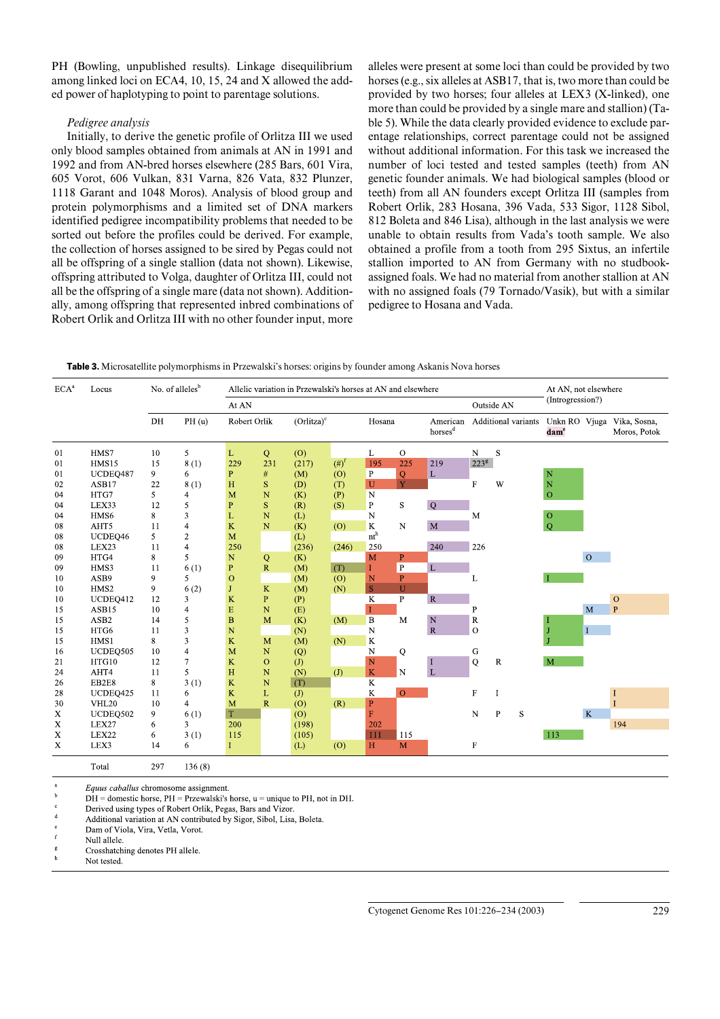PH (Bowling, unpublished results). Linkage disequilibrium among linked loci on ECA4, 10, 15, 24 and X allowed the added power of haplotyping to point to parentage solutions.

## *Pedigree analysis*

Initially, to derive the genetic profile of Orlitza III we used only blood samples obtained from animals at AN in 1991 and 1992 and from AN-bred horses elsewhere (285 Bars, 601 Vira, 605 Vorot, 606 Vulkan, 831 Varna, 826 Vata, 832 Plunzer, 1118 Garant and 1048 Moros). Analysis of blood group and protein polymorphisms and a limited set of DNA markers identified pedigree incompatibility problems that needed to be sorted out before the profiles could be derived. For example, the collection of horses assigned to be sired by Pegas could not all be offspring of a single stallion (data not shown). Likewise, offspring attributed to Volga, daughter of Orlitza III, could not all be the offspring of a single mare (data not shown). Additionally, among offspring that represented inbred combinations of Robert Orlik and Orlitza III with no other founder input, more

alleles were present at some loci than could be provided by two horses (e.g., six alleles at ASB17, that is, two more than could be provided by two horses; four alleles at LEX3 (X-linked), one more than could be provided by a single mare and stallion) (Table 5). While the data clearly provided evidence to exclude parentage relationships, correct parentage could not be assigned without additional information. For this task we increased the number of loci tested and tested samples (teeth) from AN genetic founder animals. We had biological samples (blood or teeth) from all AN founders except Orlitza III (samples from Robert Orlik, 283 Hosana, 396 Vada, 533 Sigor, 1128 Sibol, 812 Boleta and 846 Lisa), although in the last analysis we were unable to obtain results from Vada's tooth sample. We also obtained a profile from a tooth from 295 Sixtus, an infertile stallion imported to AN from Germany with no studbookassigned foals. We had no material from another stallion at AN with no assigned foals (79 Tornado/Vasik), but with a similar pedigree to Hosana and Vada.



| ECA <sup>a</sup>          | Locus            | No. of alleles <sup>b</sup> |                | Allelic variation in Przewalski's horses at AN and elsewhere |                |                        |                            |                |                |                                 |                  |             | At AN, not elsewhere |                                   |              |                              |
|---------------------------|------------------|-----------------------------|----------------|--------------------------------------------------------------|----------------|------------------------|----------------------------|----------------|----------------|---------------------------------|------------------|-------------|----------------------|-----------------------------------|--------------|------------------------------|
|                           |                  |                             |                | At AN                                                        |                |                        |                            |                |                | Outside AN                      |                  |             | (Introgression?)     |                                   |              |                              |
|                           |                  | DH                          | PH(u)          | Robert Orlik                                                 |                | (Orlitza) <sup>c</sup> |                            | Hosana         |                | American<br>horses <sup>d</sup> |                  |             | Additional variants  | Unkn RO Vjuga<br>dam <sup>e</sup> |              | Vika, Sosna,<br>Moros, Potok |
| 01                        | HMS7             | 10                          | 5              | L                                                            | Q              | (O)                    |                            | L              | $\mathcal{O}$  |                                 | $\mathbf N$      | S           |                      |                                   |              |                              |
| 01                        | HMS15            | 15                          | 8(1)           | 229                                                          | 231            | (217)                  | $(\#)^{\text{f}}$          | 195            | 225            | 219                             | 223 <sup>g</sup> |             |                      |                                   |              |                              |
| 01                        | UCDEQ487         | 9                           | 6              | $\mathbf{P}$                                                 | $\#$           | (M)                    | (O)                        | $\, {\bf P}$   | Q              | $\mathbf L$                     |                  |             |                      | N                                 |              |                              |
| 02                        | ASB17            | 22                          | 8(1)           | H                                                            | $\mathbf S$    | (D)                    | (T)                        | $\overline{U}$ | Y              |                                 | F                | W           |                      | N                                 |              |                              |
| 04                        | HTG7             | 5                           | 4              | M                                                            | N              | (K)                    | (P)                        | N              |                |                                 |                  |             |                      | $\overline{O}$                    |              |                              |
| 04                        | LEX33            | 12                          | 5              | P                                                            | $\mathbf S$    | (R)                    | (S)                        | P              | $\mathbf S$    | Q                               |                  |             |                      |                                   |              |                              |
| 04                        | HMS6             | 8                           | 3              | L                                                            | N              | (L)                    |                            | N              |                |                                 | M                |             |                      | $\overline{O}$                    |              |                              |
| 08                        | AHT5             | 11                          | 4              | K                                                            | N              | (K)                    | (0)                        | K              | $\mathbf N$    | M                               |                  |             |                      | $\overline{O}$                    |              |                              |
| 08                        | UCDEQ46          | 5                           | $\overline{c}$ | M                                                            |                | (L)                    |                            | $nt^h$         |                |                                 |                  |             |                      |                                   |              |                              |
| 08                        | LEX23            | 11                          | $\overline{4}$ | 250                                                          |                | (236)                  | (246)                      | 250            |                | 240                             | 226              |             |                      |                                   |              |                              |
| 09                        | HTG4             | 8                           | 5              | N                                                            | Q              | (K)                    |                            | M              | ${\bf P}$      |                                 |                  |             |                      |                                   | $\circ$      |                              |
| 09                        | HMS3             | 11                          | 6(1)           | P                                                            | $\mathbb{R}$   | (M)                    | (T)                        |                | $\boxed{P}$    | L                               |                  |             |                      |                                   |              |                              |
| 10                        | ASB9             | 9                           | 5.             | $\Omega$                                                     |                | (M)                    | (O)                        | N              | ${\bf P}$      |                                 | L                |             |                      |                                   |              |                              |
| 10                        | HMS2             | 9                           | 6(2)           | $\mathbf{I}$                                                 | $\rm K$        | (M)                    | (N)                        | $\rm S$        | U              |                                 |                  |             |                      |                                   |              |                              |
| 10                        | UCDEQ412         | 12                          | 3              | K                                                            | $\mathbf{P}$   | (P)                    |                            | K              | $\mathbf{P}$   | $\mathbb{R}$                    |                  |             |                      |                                   |              | $\mathbf O$                  |
| 15                        | ASB15            | 10                          | 4              | E                                                            | N              | (E)                    |                            | $\mathbf{I}$   |                |                                 | P                |             |                      |                                   | M            | $\mathbf{P}$                 |
| 15                        | ASB <sub>2</sub> | 14                          | 5              | B                                                            | M              | (K)                    | (M)                        | $\, {\bf B}$   | M              | ${\bf N}$                       | $\mathbb R$      |             |                      |                                   |              |                              |
| 15                        | HTG6             | 11                          | 3              | N                                                            |                | (N)                    |                            | N              |                | $\mathbf R$                     | $\overline{O}$   |             |                      | $\overline{J}$                    | $\mathbf{I}$ |                              |
| 15                        | HMS1             | 8                           | 3              | K                                                            | M              | (M)                    | (N)                        | K              |                |                                 |                  |             |                      |                                   |              |                              |
| 16                        | UCDEQ505         | 10                          | $\overline{4}$ | M                                                            | N              | (Q)                    |                            | ${\bf N}$      | Q              |                                 | G                |             |                      |                                   |              |                              |
| 21                        | HTG10            | 12                          | 7              | K                                                            | $\overline{O}$ | (                      |                            | ${\bf N}$      |                | $\bf{I}$                        | Q                | ${\bf R}$   |                      | M                                 |              |                              |
| 24                        | AHT4             | 11                          | 5              | H                                                            | N              | (N)                    | $\left( \mathrm{J}\right)$ | $\overline{K}$ | N              | $\overline{L}$                  |                  |             |                      |                                   |              |                              |
| 26                        | EB2E8            | 8                           | 3(1)           | K                                                            | N              | (T)                    |                            | $\mathbf K$    |                |                                 |                  |             |                      |                                   |              |                              |
| 28                        | UCDEQ425         | 11                          | 6              | K                                                            | L              | (1)                    |                            | $\bf K$        | $\overline{O}$ |                                 | $\overline{F}$   | $\mathbf I$ |                      |                                   |              | 1                            |
| 30                        | VHL20            | 10                          | 4              | M                                                            | $\mathbb{R}$   | (0)                    | (R)                        | $\, {\bf P}$   |                |                                 |                  |             |                      |                                   |              |                              |
| X                         | UCDEQ502         | 9                           | 6(1)           | T                                                            |                | (O)                    |                            | $\overline{F}$ |                |                                 | $\mathbf N$      | ${\bf P}$   | ${\bf S}$            |                                   | $\mathbf K$  |                              |
| X                         | LEX27            | 6                           | 3              | 200                                                          |                | (198)                  |                            | 202            |                |                                 |                  |             |                      |                                   |              | 194                          |
| X                         | LEX22            | 6                           | 3(1)           | 115                                                          |                | (105)                  |                            | 111            | 115            |                                 |                  |             |                      | 113                               |              |                              |
| $\boldsymbol{\mathrm{X}}$ | LEX3             | 14                          | 6              | $\mathbf{I}$                                                 |                | (L)                    | (O)                        | H              | M              |                                 | $\overline{F}$   |             |                      |                                   |              |                              |

Equus caballus chromosome assignment.

297

 $DH =$  domestic horse,  $PH =$  Przewalski's horse,  $u =$  unique to PH, not in DH.

 $136(8)$ 

Derived using types of Robert Orlik, Pegas, Bars and Vizor.

 $\mathbf{d}$ Additional variation at AN contributed by Sigor, Sibol, Lisa, Boleta.

Dam of Viola, Vira, Vetla, Vorot.

Total

Null allele.

Crosshatching denotes PH allele.

Not tested.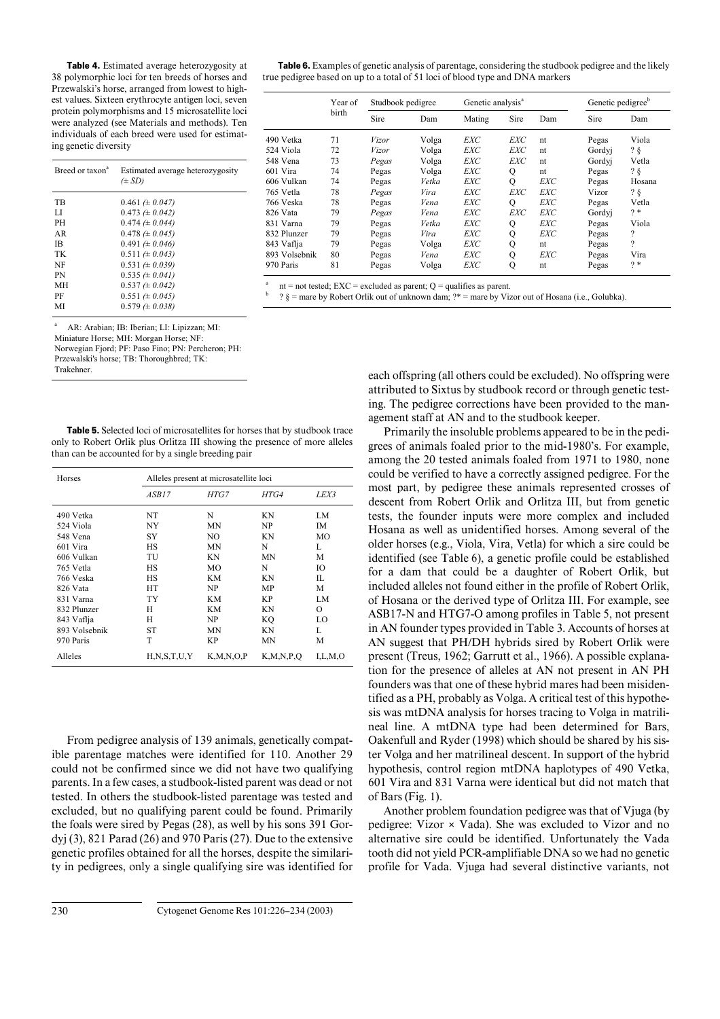**Table 4.** Estimated average heterozygosity at 38 polymorphic loci for ten breeds of horses and Przewalski's horse, arranged from lowest to highest values. Sixteen erythrocyte antigen loci, seven protein polymorphisms and 15 microsatellite loci were analyzed (see Materials and methods). Ten individuals of each breed were used for estimating genetic diversity

| Breed or taxon <sup>a</sup> | Estimated average heterozygosity<br>$(\pm SD)$ |
|-----------------------------|------------------------------------------------|
| TВ                          | $0.461 \ (\pm 0.047)$                          |
| LI                          | $0.473 \ (\pm 0.042)$                          |
| PH                          | $0.474 \ (\pm 0.044)$                          |
| AR                          | $0.478 \ (\pm 0.045)$                          |
| <b>IB</b>                   | 0.491 ( $\pm$ 0.046)                           |
| TК                          | $0.511 \ (\pm 0.043)$                          |
| NF                          | $0.531 \ (\pm 0.039)$                          |
| PN                          | $0.535 \ (\pm 0.041)$                          |
| MН                          | $0.537 \ (\pm 0.042)$                          |
| PF                          | $0.551 \ (\pm 0.045)$                          |
| МI                          | $0.579 \ (\pm 0.038)$                          |

a AR: Arabian; IB: Iberian; LI: Lipizzan; MI: Miniature Horse; MH: Morgan Horse; NF: Norwegian Fjord; PF: Paso Fino; PN: Percheron; PH: Przewalski's horse; TB: Thoroughbred; TK:

Trakehner.

**Table 5.** Selected loci of microsatellites for horses that by studbook trace only to Robert Orlik plus Orlitza III showing the presence of more alleles than can be accounted for by a single breeding pair

| <b>Horses</b> | Alleles present at microsatellite loci |               |               |                |  |  |  |  |
|---------------|----------------------------------------|---------------|---------------|----------------|--|--|--|--|
|               | ASBI7                                  | HTG7          | HTG4          | <i>LEX3</i>    |  |  |  |  |
| 490 Vetka     | NT                                     | N             | ΚN            | LM             |  |  |  |  |
| 524 Viola     | NY                                     | MN            | NP            | <b>IM</b>      |  |  |  |  |
| 548 Vena      | SY                                     | NO.           | ΚN            | M <sub>O</sub> |  |  |  |  |
| 601 Vira      | НS                                     | MN            | N             | L              |  |  |  |  |
| 606 Vulkan    | TU                                     | KN            | MN            | М              |  |  |  |  |
| 765 Vetla     | НS                                     | MО            | N             | Ю              |  |  |  |  |
| 766 Veska     | НS                                     | KM            | ΚN            | П.             |  |  |  |  |
| 826 Vata      | HT                                     | NP            | MP            | М              |  |  |  |  |
| 831 Varna     | TY                                     | KM            | KP            | LM             |  |  |  |  |
| 832 Plunzer   | H                                      | KM            | KN            | Ω              |  |  |  |  |
| 843 Vaflja    | H                                      | NP.           | KO            | LO             |  |  |  |  |
| 893 Volsebnik | ST                                     | MN            | ΚN            | L              |  |  |  |  |
| 970 Paris     | T                                      | KP            | MΝ            | М              |  |  |  |  |
| Alleles       | H,N,S,T,U,Y                            | K, M, N, O, P | K, M, N, P, O | I,L,M,O        |  |  |  |  |

From pedigree analysis of 139 animals, genetically compatible parentage matches were identified for 110. Another 29 could not be confirmed since we did not have two qualifying parents. In a few cases, a studbook-listed parent was dead or not tested. In others the studbook-listed parentage was tested and excluded, but no qualifying parent could be found. Primarily the foals were sired by Pegas (28), as well by his sons 391 Gordyj (3), 821 Parad (26) and 970 Paris (27). Due to the extensive genetic profiles obtained for all the horses, despite the similarity in pedigrees, only a single qualifying sire was identified for

**Table 6.** Examples of genetic analysis of parentage, considering the studbook pedigree and the likely true pedigree based on up to a total of 51 loci of blood type and DNA markers

|               | Year of<br>birth | Studbook pedigree |       | Genetic analysis <sup>a</sup> |            | Genetic pedigree <sup>b</sup> |        |        |
|---------------|------------------|-------------------|-------|-------------------------------|------------|-------------------------------|--------|--------|
|               |                  | Sire              | Dam   | Mating                        | Sire       | Dam                           | Sire   | Dam    |
| 490 Vetka     | 71               | Vizor             | Volga | EXC                           | EXC        | nt                            | Pegas  | Viola  |
| 524 Viola     | 72               | Vizor             | Volga | EXC                           | <b>EXC</b> | nt                            | Gordyj | ? §    |
| 548 Vena      | 73               | Pegas             | Volga | EXC                           | <b>EXC</b> | nt                            | Gordyj | Vetla  |
| 601 Vira      | 74               | Pegas             | Volga | <b>EXC</b>                    | Q          | nt                            | Pegas  | ? §    |
| 606 Vulkan    | 74               | Pegas             | Vetka | <b>EXC</b>                    | Q          | <b>EXC</b>                    | Pegas  | Hosana |
| 765 Vetla     | 78               | Pegas             | Vira  | EXC                           | <b>EXC</b> | EXC                           | Vizor  | ? §    |
| 766 Veska     | 78               | Pegas             | Vena  | EXC                           | Q          | EXC                           | Pegas  | Vetla  |
| 826 Vata      | 79               | Pegas             | Vena  | EXC                           | <b>EXC</b> | EXC                           | Gordyj | $2*$   |
| 831 Varna     | 79               | Pegas             | Vetka | EXC                           | Q          | EXC                           | Pegas  | Viola  |
| 832 Plunzer   | 79               | Pegas             | Vira  | <b>EXC</b>                    | Q          | EXC                           | Pegas  | ?      |
| 843 Vaflia    | 79               | Pegas             | Volga | EXC                           | Q          | nt                            | Pegas  | ?      |
| 893 Volsebnik | 80               | Pegas             | Vena  | <b>EXC</b>                    | Q          | <b>EXC</b>                    | Pegas  | Vira   |
| 970 Paris     | 81               | Pegas             | Volga | EXC                           | Q          | nt                            | Pegas  | $2 *$  |

a nt = not tested; EXC = excluded as parent; Q = qualifies as parent.<br>b 2 § = mare by Robert Orlik out of unknown dam; ?\* = mare by Vizor out of Hosana (i.e., Golubka).

each offspring (all others could be excluded). No offspring were attributed to Sixtus by studbook record or through genetic testing. The pedigree corrections have been provided to the management staff at AN and to the studbook keeper.

Primarily the insoluble problems appeared to be in the pedigrees of animals foaled prior to the mid-1980's. For example, among the 20 tested animals foaled from 1971 to 1980, none could be verified to have a correctly assigned pedigree. For the most part, by pedigree these animals represented crosses of descent from Robert Orlik and Orlitza III, but from genetic tests, the founder inputs were more complex and included Hosana as well as unidentified horses. Among several of the older horses (e.g., Viola, Vira, Vetla) for which a sire could be identified (see Table 6), a genetic profile could be established for a dam that could be a daughter of Robert Orlik, but included alleles not found either in the profile of Robert Orlik, of Hosana or the derived type of Orlitza III. For example, see ASB17-N and HTG7-O among profiles in Table 5, not present in AN founder types provided in Table 3. Accounts of horses at AN suggest that PH/DH hybrids sired by Robert Orlik were present (Treus, 1962; Garrutt et al., 1966). A possible explanation for the presence of alleles at AN not present in AN PH founders was that one of these hybrid mares had been misidentified as a PH, probably as Volga. A critical test of this hypothesis was mtDNA analysis for horses tracing to Volga in matrilineal line. A mtDNA type had been determined for Bars, Oakenfull and Ryder (1998) which should be shared by his sister Volga and her matrilineal descent. In support of the hybrid hypothesis, control region mtDNA haplotypes of 490 Vetka, 601 Vira and 831 Varna were identical but did not match that of Bars (Fig. 1).

Another problem foundation pedigree was that of Vjuga (by pedigree: Vizor × Vada). She was excluded to Vizor and no alternative sire could be identified. Unfortunately the Vada tooth did not yield PCR-amplifiable DNA so we had no genetic profile for Vada. Vjuga had several distinctive variants, not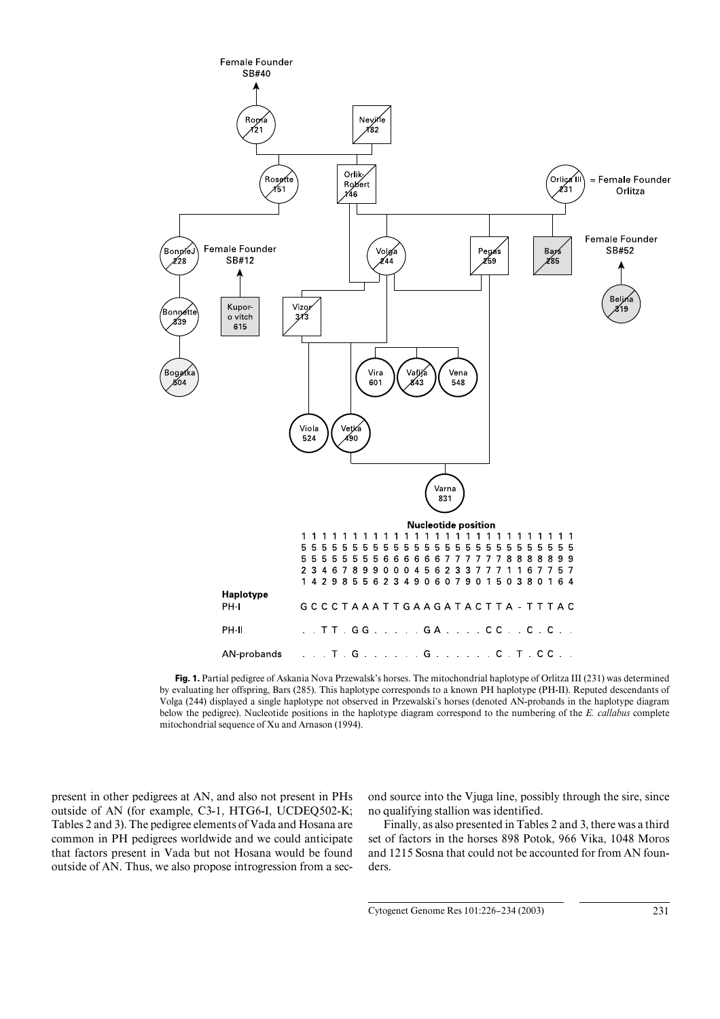

**Fig. 1.** Partial pedigree of Askania Nova Przewalsk's horses. The mitochondrial haplotype of Orlitza III (231) was determined by evaluating her offspring, Bars (285). This haplotype corresponds to a known PH haplotype (PH-II). Reputed descendants of Volga (244) displayed a single haplotype not observed in Przewalski's horses (denoted AN-probands in the haplotype diagram below the pedigree). Nucleotide positions in the haplotype diagram correspond to the numbering of the *E. callabus* complete mitochondrial sequence of Xu and Arnason (1994).

present in other pedigrees at AN, and also not present in PHs outside of AN (for example, C3-1, HTG6-I, UCDEQ502-K; Tables 2 and 3). The pedigree elements of Vada and Hosana are common in PH pedigrees worldwide and we could anticipate that factors present in Vada but not Hosana would be found outside of AN. Thus, we also propose introgression from a second source into the Vjuga line, possibly through the sire, since no qualifying stallion was identified.

Finally, as also presented in Tables 2 and 3, there was a third set of factors in the horses 898 Potok, 966 Vika, 1048 Moros and 1215 Sosna that could not be accounted for from AN founders.

Cytogenet Genome Res 101:226–234 (2003) 231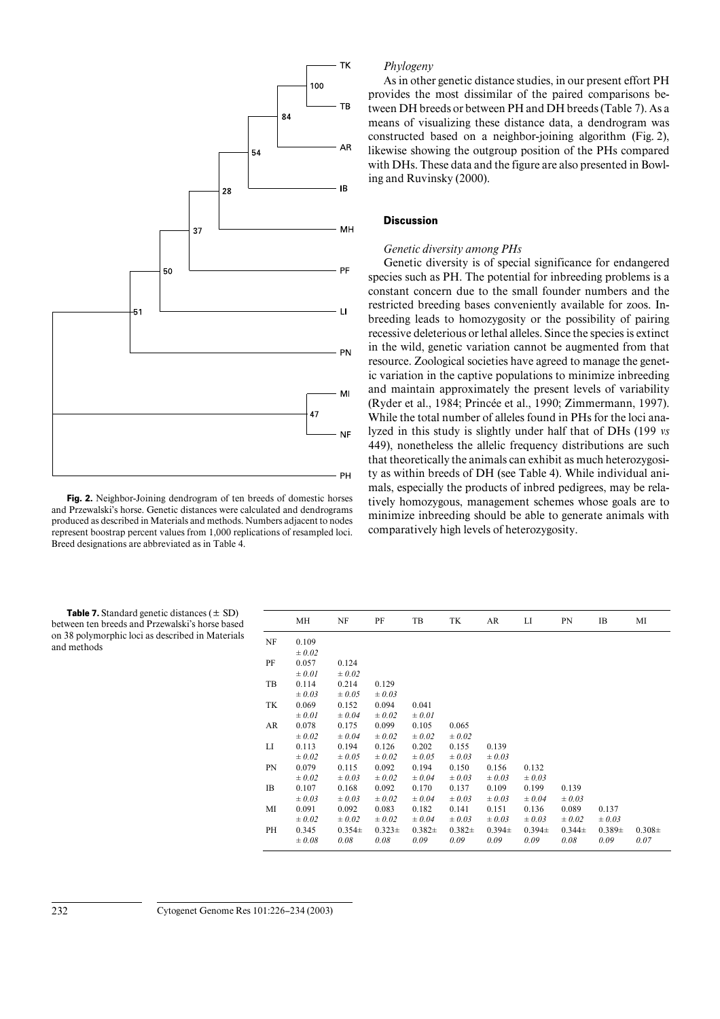

**Fig. 2.** Neighbor-Joining dendrogram of ten breeds of domestic horses and Przewalski's horse. Genetic distances were calculated and dendrograms produced as described in Materials and methods. Numbers adjacent to nodes represent boostrap percent values from 1,000 replications of resampled loci. Breed designations are abbreviated as in Table 4.

**Table 7.** Standard genetic distances  $(\pm SD)$ between ten breeds and Przewalski's horse based on 38 polymorphic loci as described in Materials and methods

*Phylogeny*

As in other genetic distance studies, in our present effort PH provides the most dissimilar of the paired comparisons between DH breeds or between PH and DH breeds (Table 7). As a means of visualizing these distance data, a dendrogram was constructed based on a neighbor-joining algorithm (Fig. 2), likewise showing the outgroup position of the PHs compared with DHs. These data and the figure are also presented in Bowling and Ruvinsky (2000).

## **Discussion**

## *Genetic diversity among PHs*

Genetic diversity is of special significance for endangered species such as PH. The potential for inbreeding problems is a constant concern due to the small founder numbers and the restricted breeding bases conveniently available for zoos. Inbreeding leads to homozygosity or the possibility of pairing recessive deleterious or lethal alleles. Since the species is extinct in the wild, genetic variation cannot be augmented from that resource. Zoological societies have agreed to manage the genetic variation in the captive populations to minimize inbreeding and maintain approximately the present levels of variability (Ryder et al., 1984; Princée et al., 1990; Zimmermann, 1997). While the total number of alleles found in PHs for the loci analyzed in this study is slightly under half that of DHs (199 *vs* 449), nonetheless the allelic frequency distributions are such that theoretically the animals can exhibit as much heterozygosity as within breeds of DH (see Table 4). While individual animals, especially the products of inbred pedigrees, may be relatively homozygous, management schemes whose goals are to minimize inbreeding should be able to generate animals with comparatively high levels of heterozygosity.

|    | МH         | NF         | PF          | TB          | TK         | AR         | LI         | PN         | IB          | MI         |
|----|------------|------------|-------------|-------------|------------|------------|------------|------------|-------------|------------|
| NF | 0.109      |            |             |             |            |            |            |            |             |            |
|    | $\pm 0.02$ |            |             |             |            |            |            |            |             |            |
| PF | 0.057      | 0.124      |             |             |            |            |            |            |             |            |
|    | $\pm 0.01$ | $\pm 0.02$ |             |             |            |            |            |            |             |            |
| TB | 0.114      | 0.214      | 0.129       |             |            |            |            |            |             |            |
|    | $\pm 0.03$ | $\pm 0.05$ | $\pm 0.03$  |             |            |            |            |            |             |            |
| TK | 0.069      | 0.152      | 0.094       | 0.041       |            |            |            |            |             |            |
|    | $\pm 0.01$ | $\pm 0.04$ | $\pm 0.02$  | $\pm 0.01$  |            |            |            |            |             |            |
| AR | 0.078      | 0.175      | 0.099       | 0.105       | 0.065      |            |            |            |             |            |
|    | $\pm 0.02$ | $\pm 0.04$ | $\pm 0.02$  | $\pm 0.02$  | $\pm 0.02$ |            |            |            |             |            |
| LI | 0.113      | 0.194      | 0.126       | 0.202       | 0.155      | 0.139      |            |            |             |            |
|    | $\pm 0.02$ | $\pm 0.05$ | $\pm 0.02$  | $\pm 0.05$  | $\pm 0.03$ | $\pm 0.03$ |            |            |             |            |
| PN | 0.079      | 0.115      | 0.092       | 0.194       | 0.150      | 0.156      | 0.132      |            |             |            |
|    | $\pm 0.02$ | $\pm 0.03$ | $\pm 0.02$  | $\pm 0.04$  | $\pm 0.03$ | $\pm 0.03$ | $\pm 0.03$ |            |             |            |
| IB | 0.107      | 0.168      | 0.092       | 0.170       | 0.137      | 0.109      | 0.199      | 0.139      |             |            |
|    | $\pm 0.03$ | $\pm 0.03$ | $\pm 0.02$  | $\pm 0.04$  | $\pm 0.03$ | $\pm 0.03$ | $\pm 0.04$ | $\pm 0.03$ |             |            |
| MI | 0.091      | 0.092      | 0.083       | 0.182       | 0.141      | 0.151      | 0.136      | 0.089      | 0.137       |            |
|    | $\pm 0.02$ | $\pm 0.02$ | $\pm 0.02$  | $\pm 0.04$  | $\pm 0.03$ | $\pm 0.03$ | $\pm 0.03$ | $\pm 0.02$ | $\pm 0.03$  |            |
| PH | 0.345      | $0.354\pm$ | $0.323 \pm$ | $0.382 \pm$ | $0.382+$   | $0.394\pm$ | $0.394\pm$ | $0.344\pm$ | $0.389 \pm$ | $0.308\pm$ |
|    | $\pm 0.08$ | 0.08       | 0.08        | 0.09        | 0.09       | 0.09       | 0.09       | 0.08       | 0.09        | 0.07       |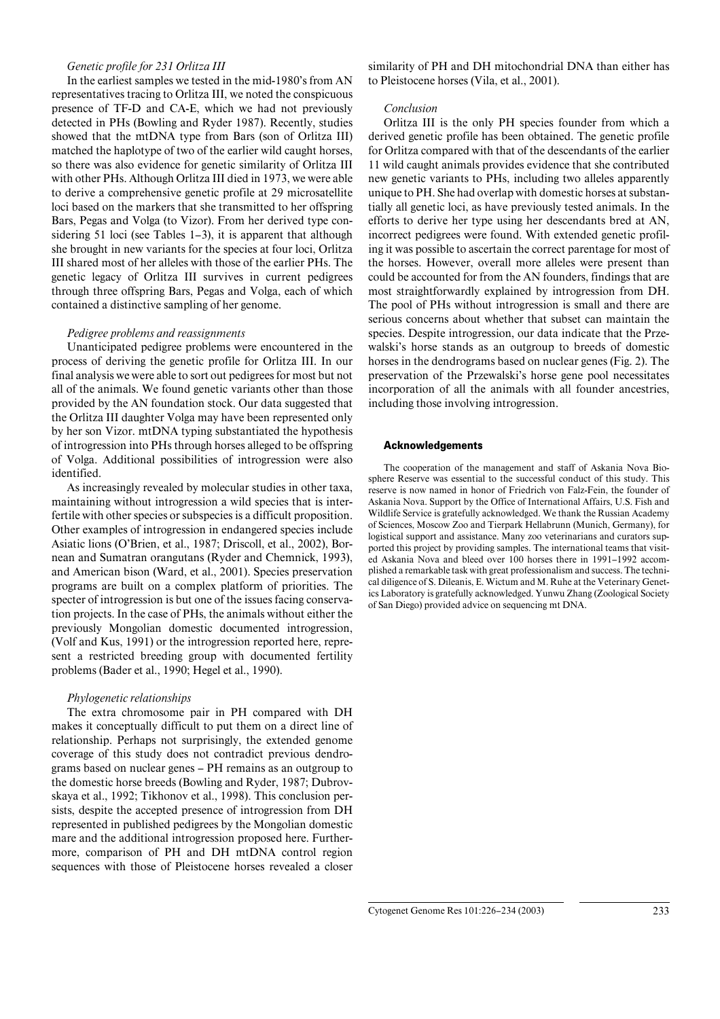### *Genetic profile for 231 Orlitza III*

In the earliest samples we tested in the mid-1980's from AN representatives tracing to Orlitza III, we noted the conspicuous presence of TF-D and CA-E, which we had not previously detected in PHs (Bowling and Ryder 1987). Recently, studies showed that the mtDNA type from Bars (son of Orlitza III) matched the haplotype of two of the earlier wild caught horses, so there was also evidence for genetic similarity of Orlitza III with other PHs. Although Orlitza III died in 1973, we were able to derive a comprehensive genetic profile at 29 microsatellite loci based on the markers that she transmitted to her offspring Bars, Pegas and Volga (to Vizor). From her derived type considering 51 loci (see Tables 1–3), it is apparent that although she brought in new variants for the species at four loci, Orlitza III shared most of her alleles with those of the earlier PHs. The genetic legacy of Orlitza III survives in current pedigrees through three offspring Bars, Pegas and Volga, each of which contained a distinctive sampling of her genome.

## *Pedigree problems and reassignments*

Unanticipated pedigree problems were encountered in the process of deriving the genetic profile for Orlitza III. In our final analysis we were able to sort out pedigrees for most but not all of the animals. We found genetic variants other than those provided by the AN foundation stock. Our data suggested that the Orlitza III daughter Volga may have been represented only by her son Vizor. mtDNA typing substantiated the hypothesis of introgression into PHs through horses alleged to be offspring of Volga. Additional possibilities of introgression were also identified.

As increasingly revealed by molecular studies in other taxa, maintaining without introgression a wild species that is interfertile with other species or subspecies is a difficult proposition. Other examples of introgression in endangered species include Asiatic lions (O'Brien, et al., 1987; Driscoll, et al., 2002), Bornean and Sumatran orangutans (Ryder and Chemnick, 1993), and American bison (Ward, et al., 2001). Species preservation programs are built on a complex platform of priorities. The specter of introgression is but one of the issues facing conservation projects. In the case of PHs, the animals without either the previously Mongolian domestic documented introgression, (Volf and Kus, 1991) or the introgression reported here, represent a restricted breeding group with documented fertility problems (Bader et al., 1990; Hegel et al., 1990).

#### *Phylogenetic relationships*

The extra chromosome pair in PH compared with DH makes it conceptually difficult to put them on a direct line of relationship. Perhaps not surprisingly, the extended genome coverage of this study does not contradict previous dendrograms based on nuclear genes – PH remains as an outgroup to the domestic horse breeds (Bowling and Ryder, 1987; Dubrovskaya et al., 1992; Tikhonov et al., 1998). This conclusion persists, despite the accepted presence of introgression from DH represented in published pedigrees by the Mongolian domestic mare and the additional introgression proposed here. Furthermore, comparison of PH and DH mtDNA control region sequences with those of Pleistocene horses revealed a closer

similarity of PH and DH mitochondrial DNA than either has to Pleistocene horses (Vila, et al., 2001).

#### *Conclusion*

Orlitza III is the only PH species founder from which a derived genetic profile has been obtained. The genetic profile for Orlitza compared with that of the descendants of the earlier 11 wild caught animals provides evidence that she contributed new genetic variants to PHs, including two alleles apparently unique to PH. She had overlap with domestic horses at substantially all genetic loci, as have previously tested animals. In the efforts to derive her type using her descendants bred at AN, incorrect pedigrees were found. With extended genetic profiling it was possible to ascertain the correct parentage for most of the horses. However, overall more alleles were present than could be accounted for from the AN founders, findings that are most straightforwardly explained by introgression from DH. The pool of PHs without introgression is small and there are serious concerns about whether that subset can maintain the species. Despite introgression, our data indicate that the Przewalski's horse stands as an outgroup to breeds of domestic horses in the dendrograms based on nuclear genes (Fig. 2). The preservation of the Przewalski's horse gene pool necessitates incorporation of all the animals with all founder ancestries, including those involving introgression.

#### **Acknowledgements**

The cooperation of the management and staff of Askania Nova Biosphere Reserve was essential to the successful conduct of this study. This reserve is now named in honor of Friedrich von Falz-Fein, the founder of Askania Nova. Support by the Office of International Affairs, U.S. Fish and Wildlife Service is gratefully acknowledged. We thank the Russian Academy of Sciences, Moscow Zoo and Tierpark Hellabrunn (Munich, Germany), for logistical support and assistance. Many zoo veterinarians and curators supported this project by providing samples. The international teams that visited Askania Nova and bleed over 100 horses there in 1991–1992 accomplished a remarkable task with great professionalism and success. The technical diligence of S. Dileanis, E. Wictum and M. Ruhe at the Veterinary Genetics Laboratory is gratefully acknowledged. Yunwu Zhang (Zoological Society of San Diego) provided advice on sequencing mt DNA.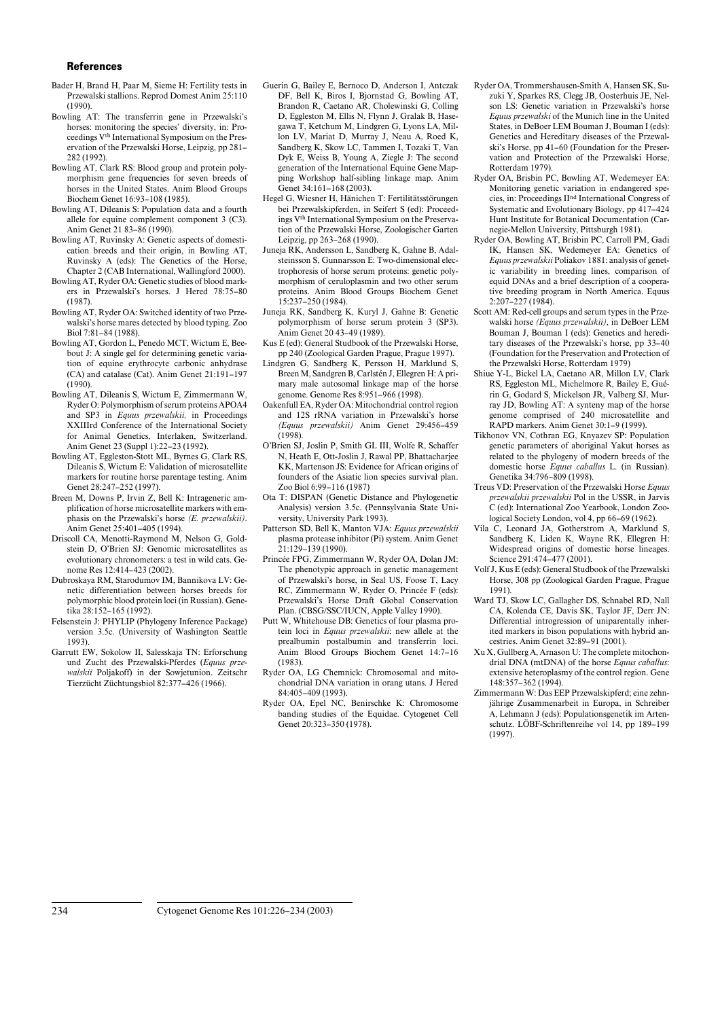#### **References**

- Bader H, Brand H, Paar M, Sieme H: Fertility tests in Przewalski stallions. Reprod Domest Anim 25:110 (1990).
- Bowling AT: The transferrin gene in Przewalski's horses: monitoring the species' diversity, in: Proceedings Vth International Symposium on the Preservation of the Przewalski Horse, Leipzig, pp 281– 282 (1992).
- Bowling AT, Clark RS: Blood group and protein polymorphism gene frequencies for seven breeds of horses in the United States. Anim Blood Groups Biochem Genet 16:93–108 (1985).
- Bowling AT, Dileanis S: Population data and a fourth allele for equine complement component 3 (C3). Anim Genet 21 83–86 (1990).
- Bowling AT, Ruvinsky A: Genetic aspects of domestication breeds and their origin, in Bowling AT, Ruvinsky A (eds): The Genetics of the Horse, Chapter 2 (CAB International, Wallingford 2000).
- Bowling AT, Ryder OA: Genetic studies of blood markers in Przewalski's horses. J Hered 78:75–80 (1987).
- Bowling AT, Ryder OA: Switched identity of two Przewalski's horse mares detected by blood typing. Zoo Biol 7:81–84 (1988).
- Bowling AT, Gordon L, Penedo MCT, Wictum E, Beebout J: A single gel for determining genetic variation of equine erythrocyte carbonic anhydrase (CA) and catalase (Cat). Anim Genet 21:191–197 (1990).
- Bowling AT, Dileanis S, Wictum E, Zimmermann W, Ryder O: Polymorphism of serum proteins APOA4 and SP3 in *Equus przewalskii,* in Proceedings XXIIIrd Conference of the International Society for Animal Genetics, Interlaken, Switzerland. Anim Genet 23 (Suppl 1):22–23 (1992).
- Bowling AT, Eggleston-Stott ML, Byrnes G, Clark RS, Dileanis S, Wictum E: Validation of microsatellite markers for routine horse parentage testing. Anim Genet 28:247–252 (1997).
- Breen M, Downs P, Irvin Z, Bell K: Intrageneric amplification of horse microsatellite markers with emphasis on the Przewalski's horse *(E. przewalskii)*. Anim Genet 25:401–405 (1994).
- Driscoll CA, Menotti-Raymond M, Nelson G, Goldstein D, O'Brien SJ: Genomic microsatellites as evolutionary chronometers: a test in wild cats. Genome Res 12:414–423 (2002).
- Dubroskaya RM, Starodumov IM, Bannikova LV: Genetic differentiation between horses breeds for polymorphic blood protein loci (in Russian). Genetika 28:152–165 (1992).
- Felsenstein J: PHYLIP (Phylogeny Inference Package) version 3.5c. (University of Washington Seattle 1993).
- Garrutt EW, Sokolow II, Salesskaja TN: Erforschung und Zucht des Przewalski-Pferdes (*Equus przewalskii* Poljakoff) in der Sowjetunion. Zeitschr Tierzücht Züchtungsbiol 82:377–426 (1966).
- Guerin G, Bailey E, Bernoco D, Anderson I, Antczak DF, Bell K, Biros I, Bjornstad G, Bowling AT, Brandon R, Caetano AR, Cholewinski G, Colling D, Eggleston M, Ellis N, Flynn J, Gralak B, Hasegawa T, Ketchum M, Lindgren G, Lyons LA, Millon LV, Mariat D, Murray J, Neau A, Roed K, Sandberg K, Skow LC, Tammen I, Tozaki T, Van Dyk E, Weiss B, Young A, Ziegle J: The second generation of the International Equine Gene Mapping Workshop half-sibling linkage map. Anim Genet 34:161–168 (2003).
- Hegel G, Wiesner H, Hänichen T: Fertilitätsstörungen bei Przewalskipferden, in Seifert S (ed): Proceedings Vth International Symposium on the Preservation of the Przewalski Horse, Zoologischer Garten Leipzig, pp 263–268 (1990).
- Juneja RK, Andersson L, Sandberg K, Gahne B, Adalsteinsson S, Gunnarsson E: Two-dimensional electrophoresis of horse serum proteins: genetic polymorphism of ceruloplasmin and two other serum proteins. Anim Blood Groups Biochem Genet 15:237–250 (1984).
- Juneja RK, Sandberg K, Kuryl J, Gahne B: Genetic polymorphism of horse serum protein 3 (SP3). Anim Genet 20 43–49 (1989).
- Kus E (ed): General Studbook of the Przewalski Horse, pp 240 (Zoological Garden Prague, Prague 1997).
- Lindgren G, Sandberg K, Persson H, Marklund S, Breen M, Sandgren B, Carlstén J, Ellegren H: A primary male autosomal linkage map of the horse genome. Genome Res 8:951–966 (1998).
- Oakenfull EA, Ryder OA: Mitochondrial control region and 12S rRNA variation in Przewalski's horse *(Equus przewalskii)* Anim Genet 29:456–459  $(1998)$
- O'Brien SJ, Joslin P, Smith GL III, Wolfe R, Schaffer N, Heath E, Ott-Joslin J, Rawal PP, Bhattacharjee KK, Martenson JS: Evidence for African origins of founders of the Asiatic lion species survival plan. Zoo Biol 6:99–116 (1987)
- Ota T: DISPAN (Genetic Distance and Phylogenetic Analysis) version 3.5c. (Pennsylvania State University, University Park 1993).
- Patterson SD, Bell K, Manton VJA: *Equus przewalskii* plasma protease inhibitor (Pi) system. Anim Genet 21:129–139 (1990).
- Princée FPG, Zimmermann W, Ryder OA, Dolan JM: The phenotypic approach in genetic management of Przewalski's horse, in Seal US, Foose T, Lacy RC, Zimmermann W, Ryder O, Princée F (eds): Przewalski's Horse Draft Global Conservation Plan. (CBSG/SSC/IUCN, Apple Valley 1990).
- Putt W, Whitehouse DB: Genetics of four plasma protein loci in *Equus przewalskii*: new allele at the prealbumin postalbumin and transferrin loci. Anim Blood Groups Biochem Genet 14:7–16 (1983).
- Ryder OA, LG Chemnick: Chromosomal and mitochondrial DNA variation in orang utans. J Hered 84:405–409 (1993).
- Ryder OA, Epel NC, Benirschke K: Chromosome banding studies of the Equidae. Cytogenet Cell Genet 20:323-350 (1978).
- Ryder OA, Trommershausen-Smith A, Hansen SK, Suzuki Y, Sparkes RS, Clegg JB, Oosterhuis JE, Nelson LS: Genetic variation in Przewalski's horse *Equus przewalski* of the Munich line in the United States, in DeBoer LEM Bouman J, Bouman I (eds): Genetics and Hereditary diseases of the Przewalski's Horse, pp 41–60 (Foundation for the Preservation and Protection of the Przewalski Horse, Rotterdam 1979).
- Ryder OA, Brisbin PC, Bowling AT, Wedemeyer EA: Monitoring genetic variation in endangered species, in: Proceedings IInd International Congress of Systematic and Evolutionary Biology, pp 417–424 Hunt Institute for Botanical Documentation (Carnegie-Mellon University, Pittsburgh 1981).
- Ryder OA, Bowling AT, Brisbin PC, Carroll PM, Gadi IK, Hansen SK, Wedemeyer EA: Genetics of *Equus przewalskii* Poliakov 1881: analysis of genetic variability in breeding lines, comparison of equid DNAs and a brief description of a cooperative breeding program in North America. Equus 2:207–227 (1984).
- Scott AM: Red-cell groups and serum types in the Przewalski horse *(Equus przewalskii)*, in DeBoer LEM Bouman J, Bouman I (eds): Genetics and hereditary diseases of the Przewalski's horse, pp 33–40 (Foundation for the Preservation and Protection of the Przewalski Horse, Rotterdam 1979)
- Shiue Y-L, Bickel LA, Caetano AR, Millon LV, Clark RS, Eggleston ML, Michelmore R, Bailey E, Guérin G, Godard S, Mickelson JR, Valberg SJ, Murray JD, Bowling AT: A synteny map of the horse genome comprised of 240 microsatellite and RAPD markers. Anim Genet 30:1–9 (1999).
- Tikhonov VN, Cothran EG, Knyazev SP: Population genetic parameters of aboriginal Yakut horses as related to the phylogeny of modern breeds of the domestic horse *Equus caballus* L. (in Russian). Genetika 34:796–809 (1998).
- Treus VD: Preservation of the Przewalski Horse *Equus przewalskii przewalskii* Pol in the USSR, in Jarvis C (ed): International Zoo Yearbook, London Zoological Society London, vol 4, pp 66–69 (1962).
- Vila C, Leonard JA, Gotherstrom A, Marklund S, Sandberg K, Liden K, Wayne RK, Ellegren H: Widespread origins of domestic horse lineages. Science 291:474–477 (2001).
- Volf J, Kus E (eds): General Studbook of the Przewalski Horse, 308 pp (Zoological Garden Prague, Prague 1991).
- Ward TJ, Skow LC, Gallagher DS, Schnabel RD, Nall CA, Kolenda CE, Davis SK, Taylor JF, Derr JN: Differential introgression of uniparentally inherited markers in bison populations with hybrid ancestries. Anim Genet 32:89–91 (2001).
- Xu X, Gullberg A, Arnason U: The complete mitochondrial DNA (mtDNA) of the horse *Equus caballus*: extensive heteroplasmy of the control region. Gene 148:357–362 (1994).
- Zimmermann W: Das EEP Przewalskipferd; eine zehnjährige Zusammenarbeit in Europa, in Schreiber A, Lehmann J (eds): Populationsgenetik im Artenschutz. LÖBF-Schriftenreihe vol 14, pp 189–199 (1997).